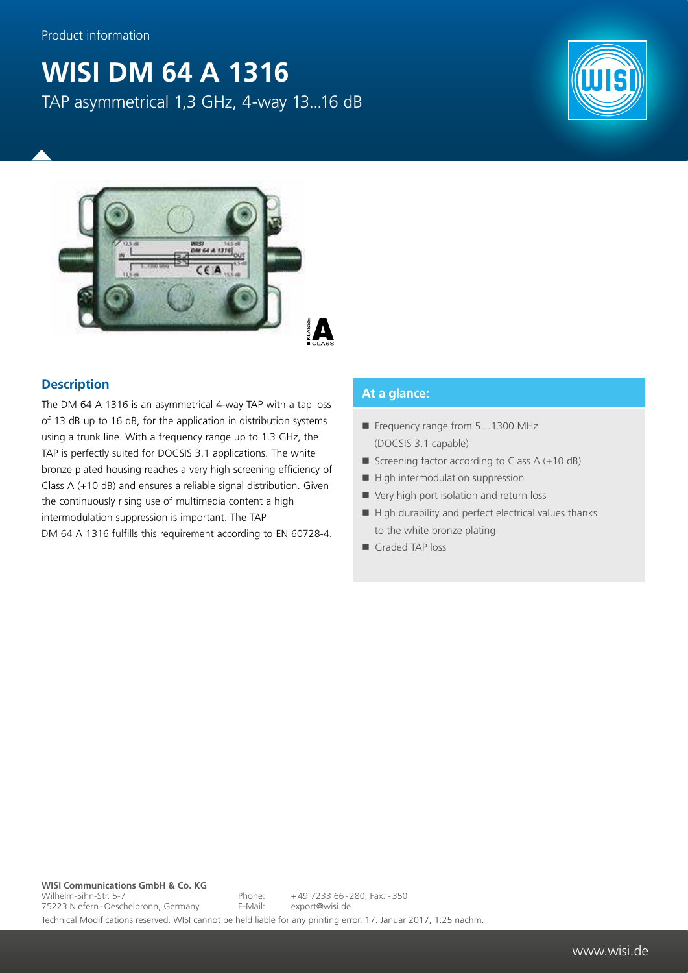## **WISI DM 64 A 1316**

TAP asymmetrical 1,3 GHz, 4-way 13...16 dB





## **Description**

The DM 64 A 1316 is an asymmetrical 4-way TAP with a tap loss of 13 dB up to 16 dB, for the application in distribution systems using a trunk line. With a frequency range up to 1.3 GHz, the TAP is perfectly suited for DOCSIS 3.1 applications. The white bronze plated housing reaches a very high screening efficiency of Class A (+10 dB) and ensures a reliable signal distribution. Given the continuously rising use of multimedia content a high intermodulation suppression is important. The TAP DM 64 A 1316 fulfills this requirement according to EN 60728-4.

## **At a glance:**

- Frequency range from 5...1300 MHz (DOCSIS 3.1 capable)
- Screening factor according to Class  $A (+10 dB)$
- $\blacksquare$  High intermodulation suppression
- Very high port isolation and return loss
- $\blacksquare$  High durability and perfect electrical values thanks to the white bronze plating
- Graded TAP loss